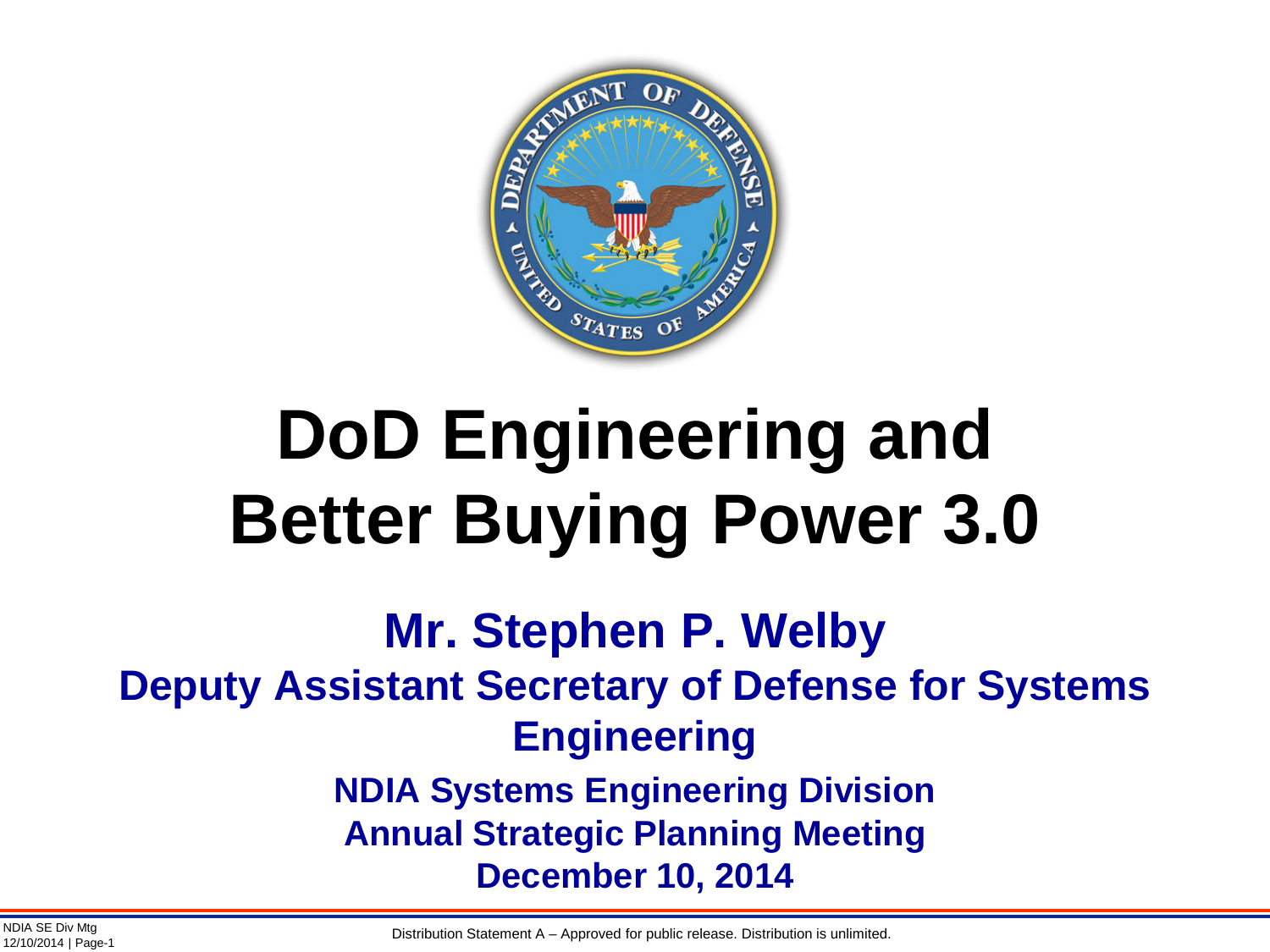

# **DoD Engineering and Better Buying Power 3.0**

### **Mr. Stephen P. Welby Deputy Assistant Secretary of Defense for Systems Engineering NDIA Systems Engineering Division Annual Strategic Planning Meeting December 10, 2014**

NDIA SE Div Mtg **Example 20 The Contract A CONDUCT** CHO CONDUCT DESCRIPTION Statement A – Approved for public release. Distribution is unlimited.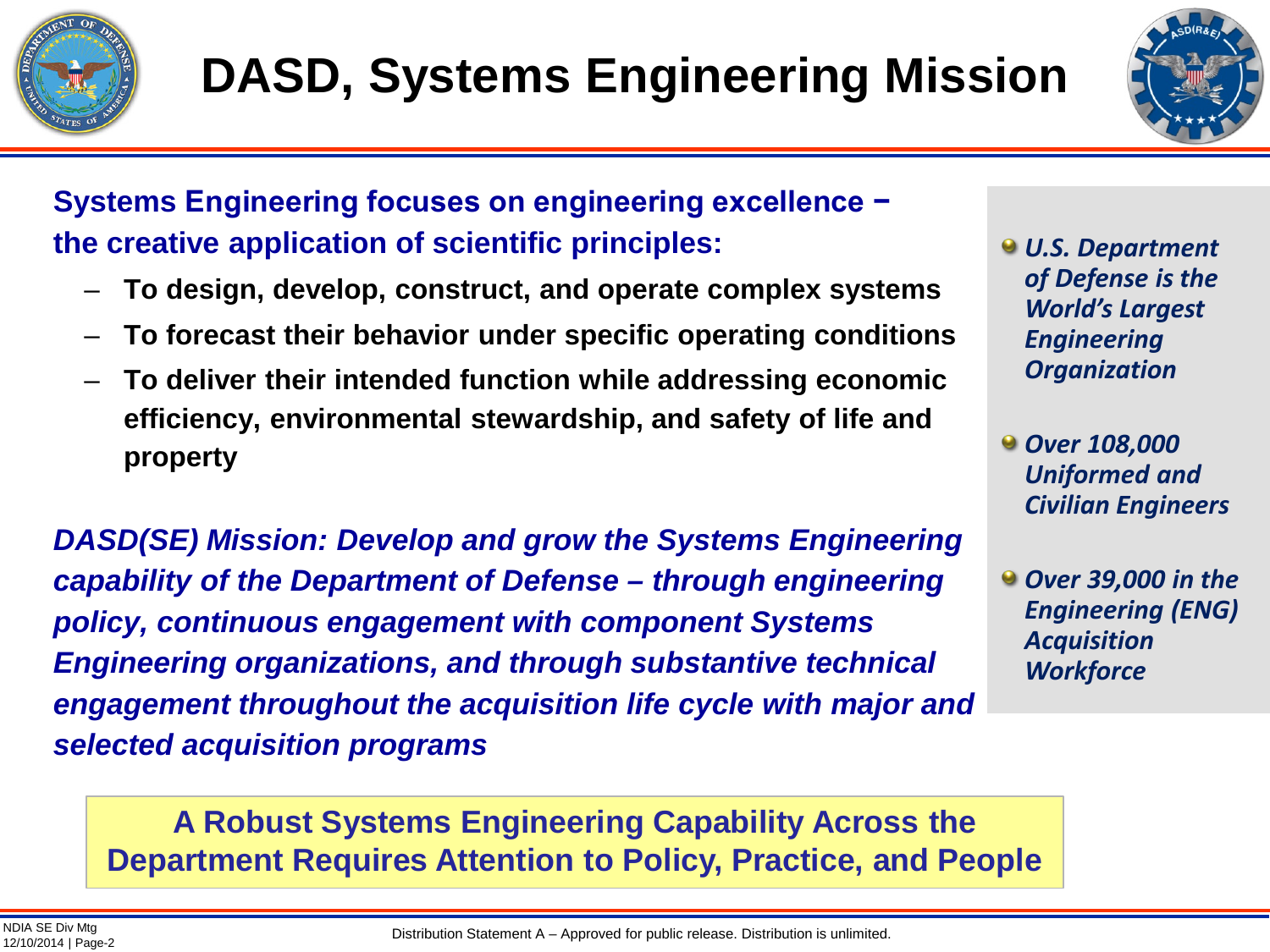



**Systems Engineering focuses on engineering excellence − the creative application of scientific principles:**

- **To design, develop, construct, and operate complex systems**
- **To forecast their behavior under specific operating conditions**
- **To deliver their intended function while addressing economic efficiency, environmental stewardship, and safety of life and property**

*DASD(SE) Mission: Develop and grow the Systems Engineering capability of the Department of Defense – through engineering policy, continuous engagement with component Systems Engineering organizations, and through substantive technical engagement throughout the acquisition life cycle with major and selected acquisition programs*

*U.S. Department of Defense is the World's Largest Engineering Organization*

- *Over 108,000 Uniformed and Civilian Engineers*
- *Over 39,000 in the Engineering (ENG) Acquisition Workforce*

**A Robust Systems Engineering Capability Across the Department Requires Attention to Policy, Practice, and People**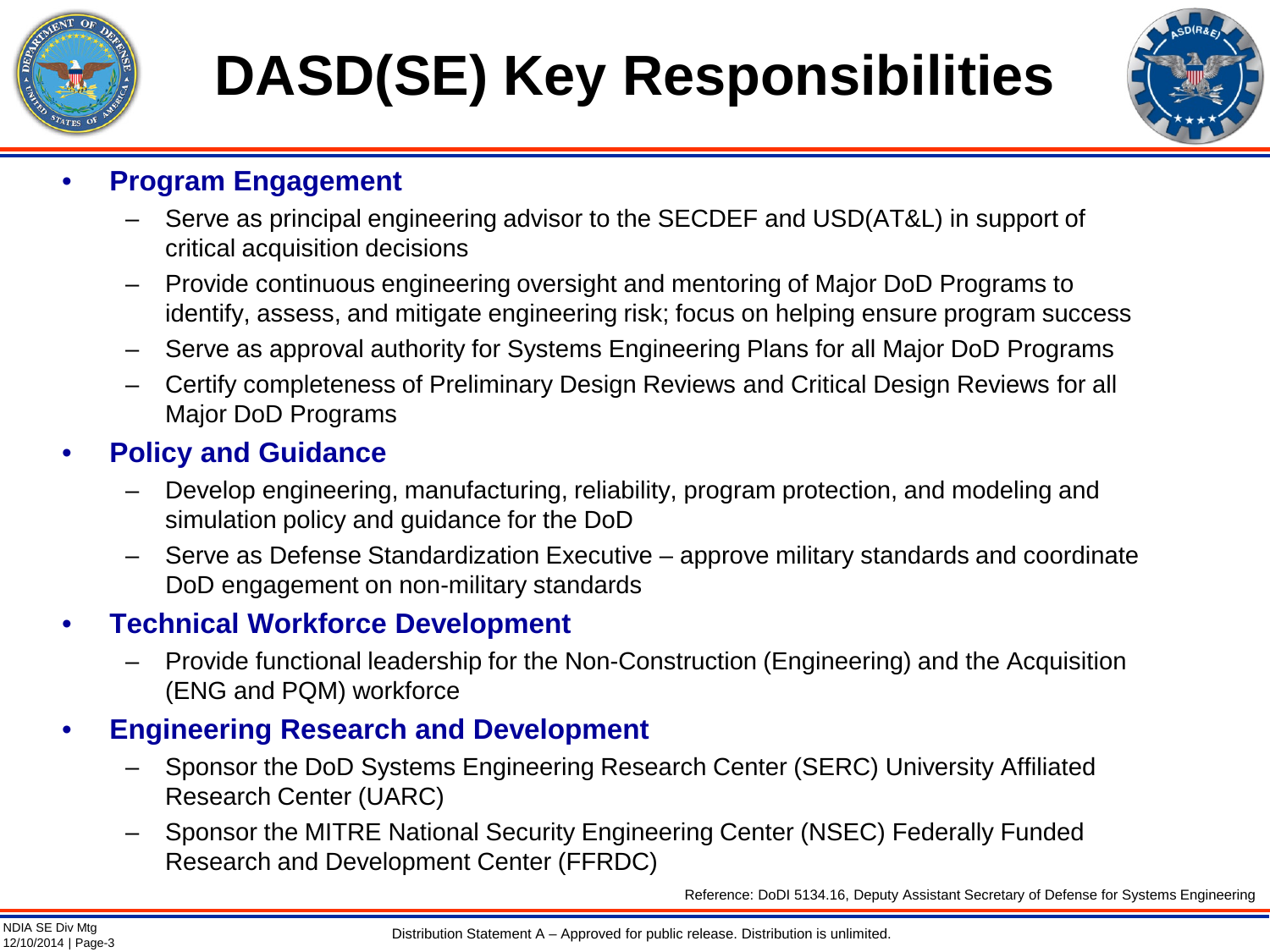

# **DASD(SE) Key Responsibilities**



### • **Program Engagement**

- Serve as principal engineering advisor to the SECDEF and USD(AT&L) in support of critical acquisition decisions
- Provide continuous engineering oversight and mentoring of Major DoD Programs to identify, assess, and mitigate engineering risk; focus on helping ensure program success
- Serve as approval authority for Systems Engineering Plans for all Major DoD Programs
- Certify completeness of Preliminary Design Reviews and Critical Design Reviews for all Major DoD Programs

### • **Policy and Guidance**

- Develop engineering, manufacturing, reliability, program protection, and modeling and simulation policy and guidance for the DoD
- Serve as Defense Standardization Executive approve military standards and coordinate DoD engagement on non-military standards

### • **Technical Workforce Development**

– Provide functional leadership for the Non-Construction (Engineering) and the Acquisition (ENG and PQM) workforce

### • **Engineering Research and Development**

- Sponsor the DoD Systems Engineering Research Center (SERC) University Affiliated Research Center (UARC)
- Sponsor the MITRE National Security Engineering Center (NSEC) Federally Funded Research and Development Center (FFRDC)

Reference: DoDI 5134.16, Deputy Assistant Secretary of Defense for Systems Engineering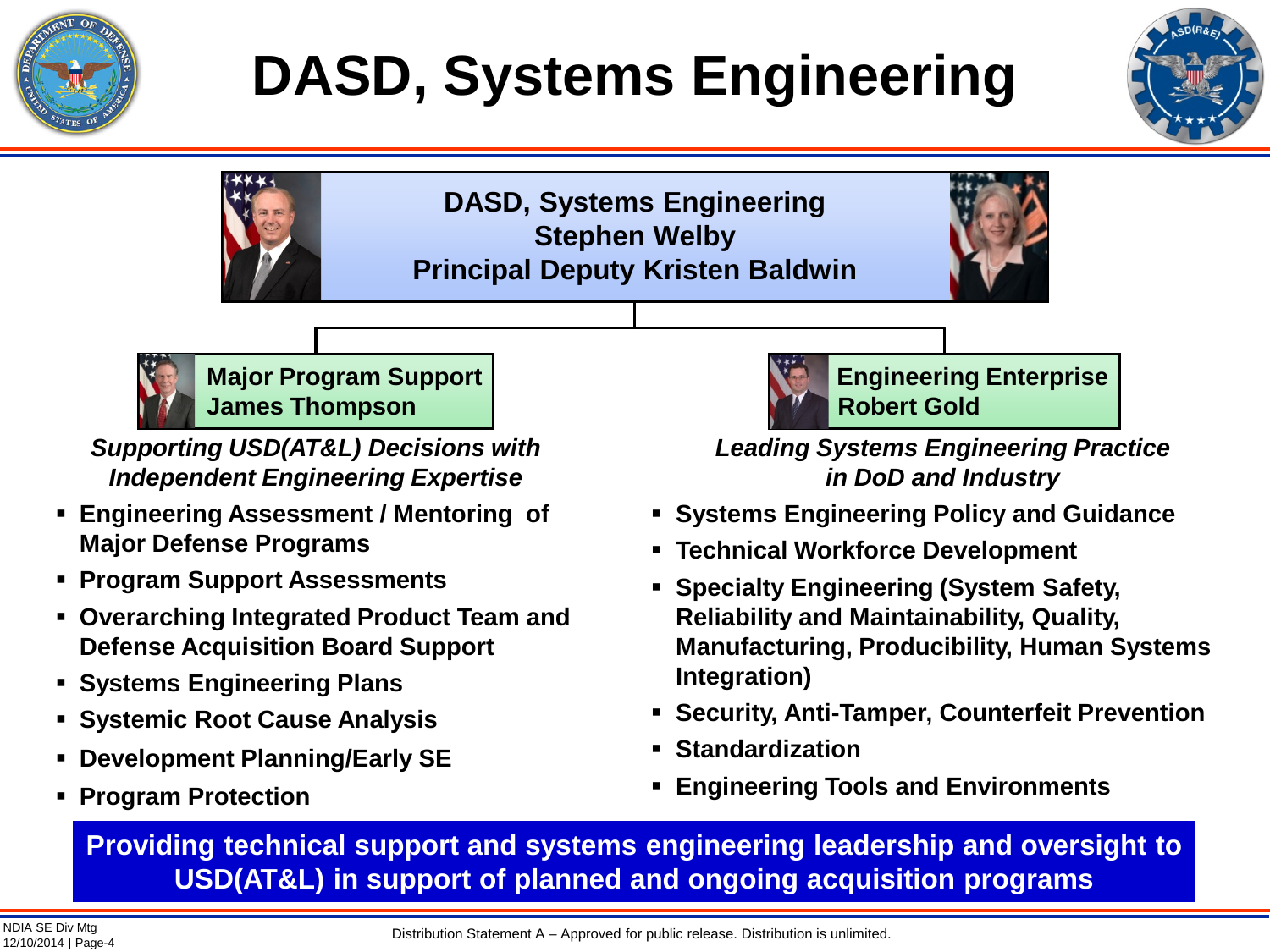

# **DASD, Systems Engineering**



**DASD, Systems Engineering Stephen Welby Principal Deputy Kristen Baldwin**





**Major Program Support James Thompson**

*Supporting USD(AT&L) Decisions with Independent Engineering Expertise*

- **Engineering Assessment / Mentoring of Major Defense Programs**
- **Program Support Assessments**
- **Overarching Integrated Product Team and Defense Acquisition Board Support**
- **Systems Engineering Plans**
- **Systemic Root Cause Analysis**
- **Development Planning/Early SE**
- **Program Protection**



*Leading Systems Engineering Practice in DoD and Industry*

- **Systems Engineering Policy and Guidance**
- **Technical Workforce Development**
- **Specialty Engineering (System Safety, Reliability and Maintainability, Quality, Manufacturing, Producibility, Human Systems Integration)**
- **Security, Anti-Tamper, Counterfeit Prevention**
- **Standardization**
- **Engineering Tools and Environments**

**Providing technical support and systems engineering leadership and oversight to USD(AT&L) in support of planned and ongoing acquisition programs**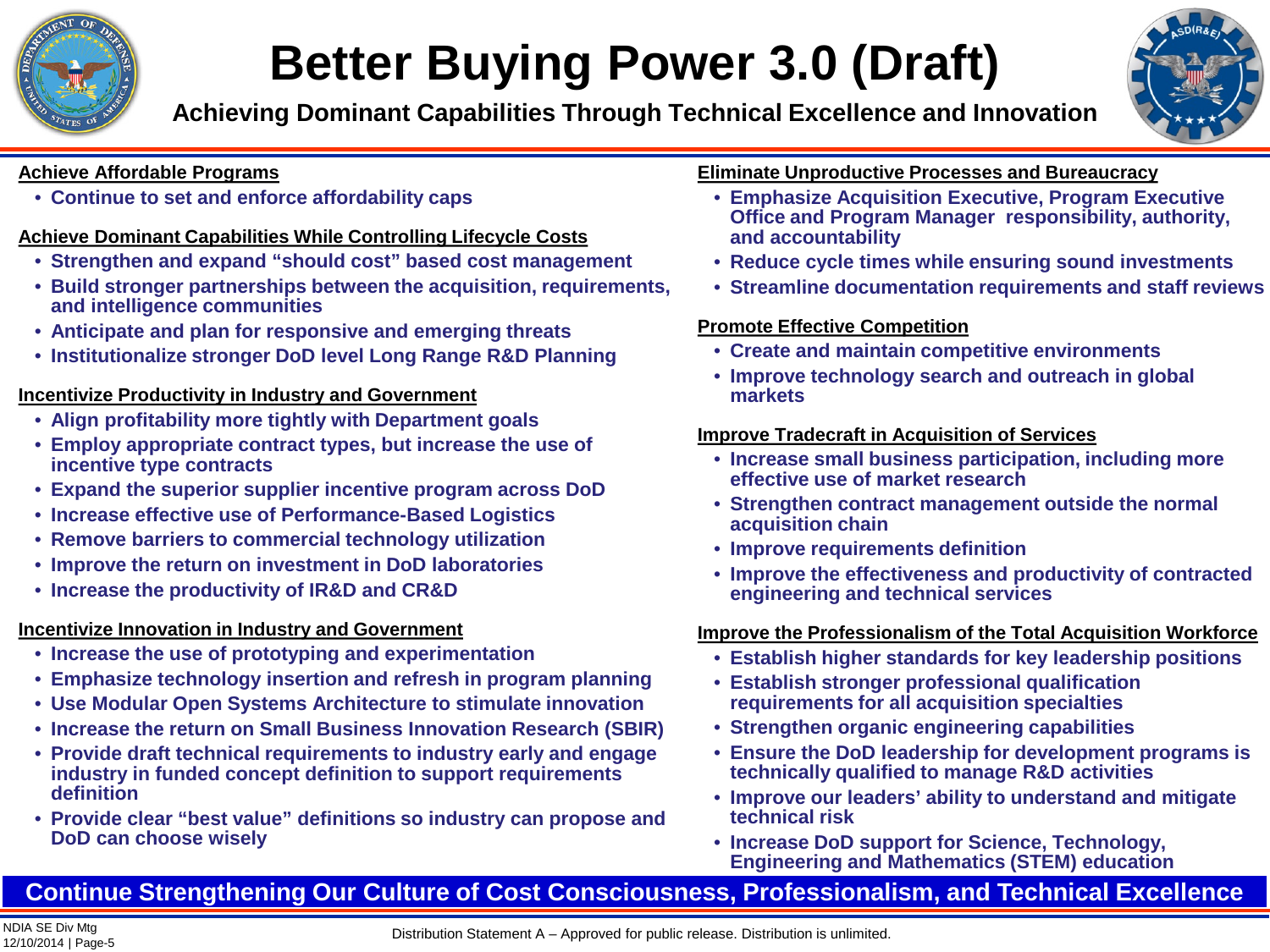

## **Better Buying Power 3.0 (Draft)**

**Achieving Dominant Capabilities Through Technical Excellence and Innovation**



#### **Achieve Affordable Programs**

• **Continue to set and enforce affordability caps**

### **Achieve Dominant Capabilities While Controlling Lifecycle Costs**

- **Strengthen and expand "should cost" based cost management**
- **Build stronger partnerships between the acquisition, requirements, and intelligence communities**
- **Anticipate and plan for responsive and emerging threats**
- **Institutionalize stronger DoD level Long Range R&D Planning**

### **Incentivize Productivity in Industry and Government**

- **Align profitability more tightly with Department goals**
- **Employ appropriate contract types, but increase the use of incentive type contracts**
- **Expand the superior supplier incentive program across DoD**
- **Increase effective use of Performance-Based Logistics**
- **Remove barriers to commercial technology utilization**
- **Improve the return on investment in DoD laboratories**
- **Increase the productivity of IR&D and CR&D**

### **Incentivize Innovation in Industry and Government**

- **Increase the use of prototyping and experimentation**
- **Emphasize technology insertion and refresh in program planning**
- **Use Modular Open Systems Architecture to stimulate innovation**
- **Increase the return on Small Business Innovation Research (SBIR)**
- **Provide draft technical requirements to industry early and engage industry in funded concept definition to support requirements definition**
- **Provide clear "best value" definitions so industry can propose and DoD can choose wisely**

#### **Eliminate Unproductive Processes and Bureaucracy**

- **Emphasize Acquisition Executive, Program Executive Office and Program Manager responsibility, authority, and accountability**
- **Reduce cycle times while ensuring sound investments**
- **Streamline documentation requirements and staff reviews**

### **Promote Effective Competition**

- **Create and maintain competitive environments**
- **Improve technology search and outreach in global markets**

### **Improve Tradecraft in Acquisition of Services**

- **Increase small business participation, including more effective use of market research**
- **Strengthen contract management outside the normal acquisition chain**
- **Improve requirements definition**
- **Improve the effectiveness and productivity of contracted engineering and technical services**

### **Improve the Professionalism of the Total Acquisition Workforce**

- **Establish higher standards for key leadership positions**
- **Establish stronger professional qualification requirements for all acquisition specialties**
- **Strengthen organic engineering capabilities**
- **Ensure the DoD leadership for development programs is technically qualified to manage R&D activities**
- **Improve our leaders' ability to understand and mitigate technical risk**
- **Increase DoD support for Science, Technology, Engineering and Mathematics (STEM) education**

### **Continue Strengthening Our Culture of Cost Consciousness, Professionalism, and Technical Excellence**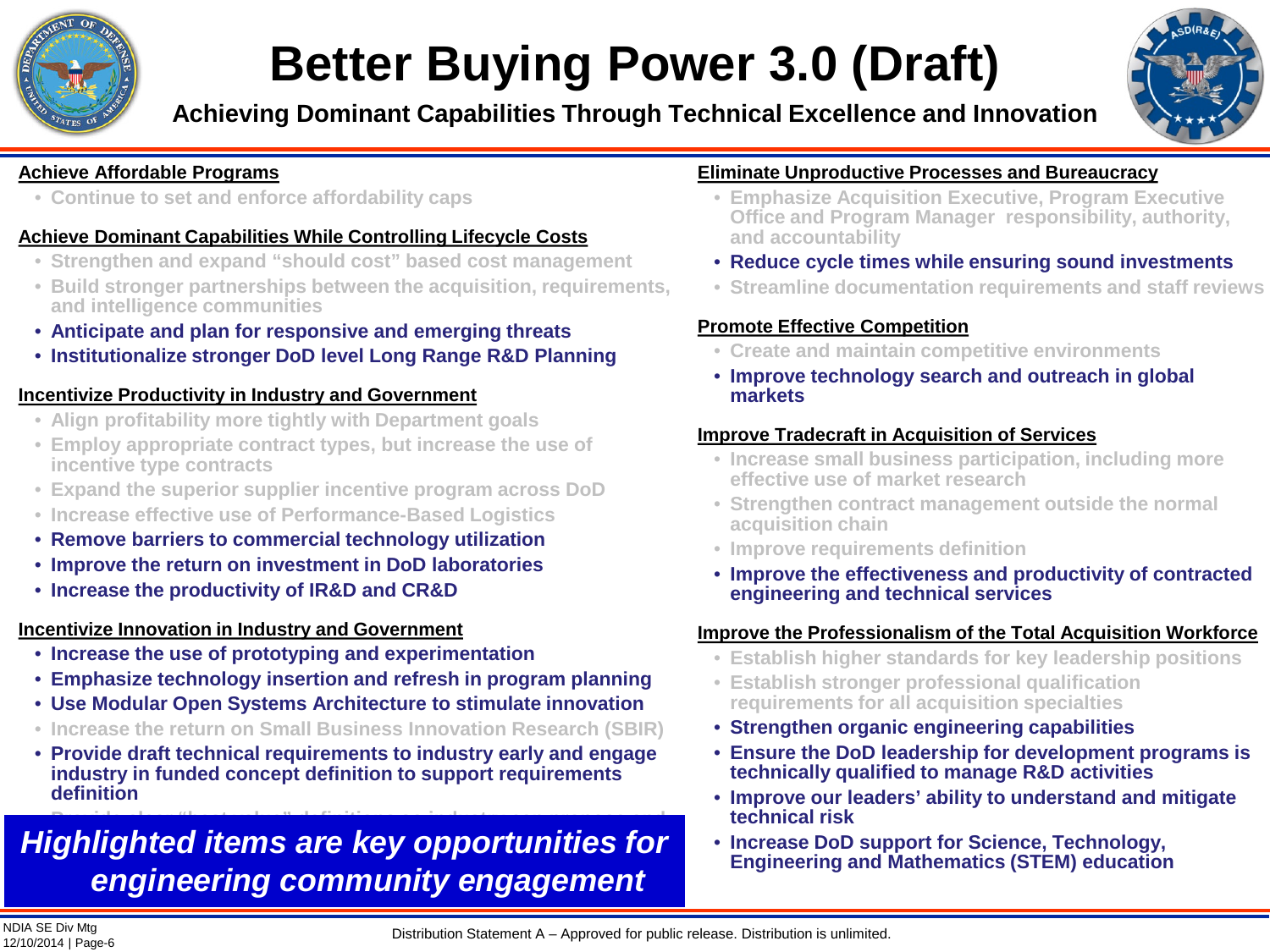

## **Better Buying Power 3.0 (Draft)**

**Achieving Dominant Capabilities Through Technical Excellence and Innovation**



#### **Achieve Affordable Programs**

• **Continue to set and enforce affordability caps**

#### **Achieve Dominant Capabilities While Controlling Lifecycle Costs**

- **Strengthen and expand "should cost" based cost management**
- **Build stronger partnerships between the acquisition, requirements, and intelligence communities**
- **Anticipate and plan for responsive and emerging threats**
- **Institutionalize stronger DoD level Long Range R&D Planning**

#### **Incentivize Productivity in Industry and Government**

- **Align profitability more tightly with Department goals**
- **Employ appropriate contract types, but increase the use of incentive type contracts**
- **Expand the superior supplier incentive program across DoD**
- **Increase effective use of Performance-Based Logistics**
- **Remove barriers to commercial technology utilization**
- **Improve the return on investment in DoD laboratories**
- **Increase the productivity of IR&D and CR&D**

### **Incentivize Innovation in Industry and Government**

- **Increase the use of prototyping and experimentation**
- **Emphasize technology insertion and refresh in program planning**
- **Use Modular Open Systems Architecture to stimulate innovation**
- **Increase the return on Small Business Innovation Research (SBIR)**
- **Provide draft technical requirements to industry early and engage industry in funded concept definition to support requirements definition**

### • **Provide clear "best value" definitions so industry can propose and Highlighted items are key opportunities for** *engineering community engagement*

#### **Eliminate Unproductive Processes and Bureaucracy**

- **Emphasize Acquisition Executive, Program Executive Office and Program Manager responsibility, authority, and accountability**
- **Reduce cycle times while ensuring sound investments**
- **Streamline documentation requirements and staff reviews**

### **Promote Effective Competition**

- **Create and maintain competitive environments**
- **Improve technology search and outreach in global markets**

#### **Improve Tradecraft in Acquisition of Services**

- **Increase small business participation, including more effective use of market research**
- **Strengthen contract management outside the normal acquisition chain**
- **Improve requirements definition**
- **Improve the effectiveness and productivity of contracted engineering and technical services**

#### **Improve the Professionalism of the Total Acquisition Workforce**

- **Establish higher standards for key leadership positions**
- **Establish stronger professional qualification requirements for all acquisition specialties**
- **Strengthen organic engineering capabilities**
- **Ensure the DoD leadership for development programs is technically qualified to manage R&D activities**
- **Improve our leaders' ability to understand and mitigate technical risk**
- **Increase DoD support for Science, Technology, Engineering and Mathematics (STEM) education**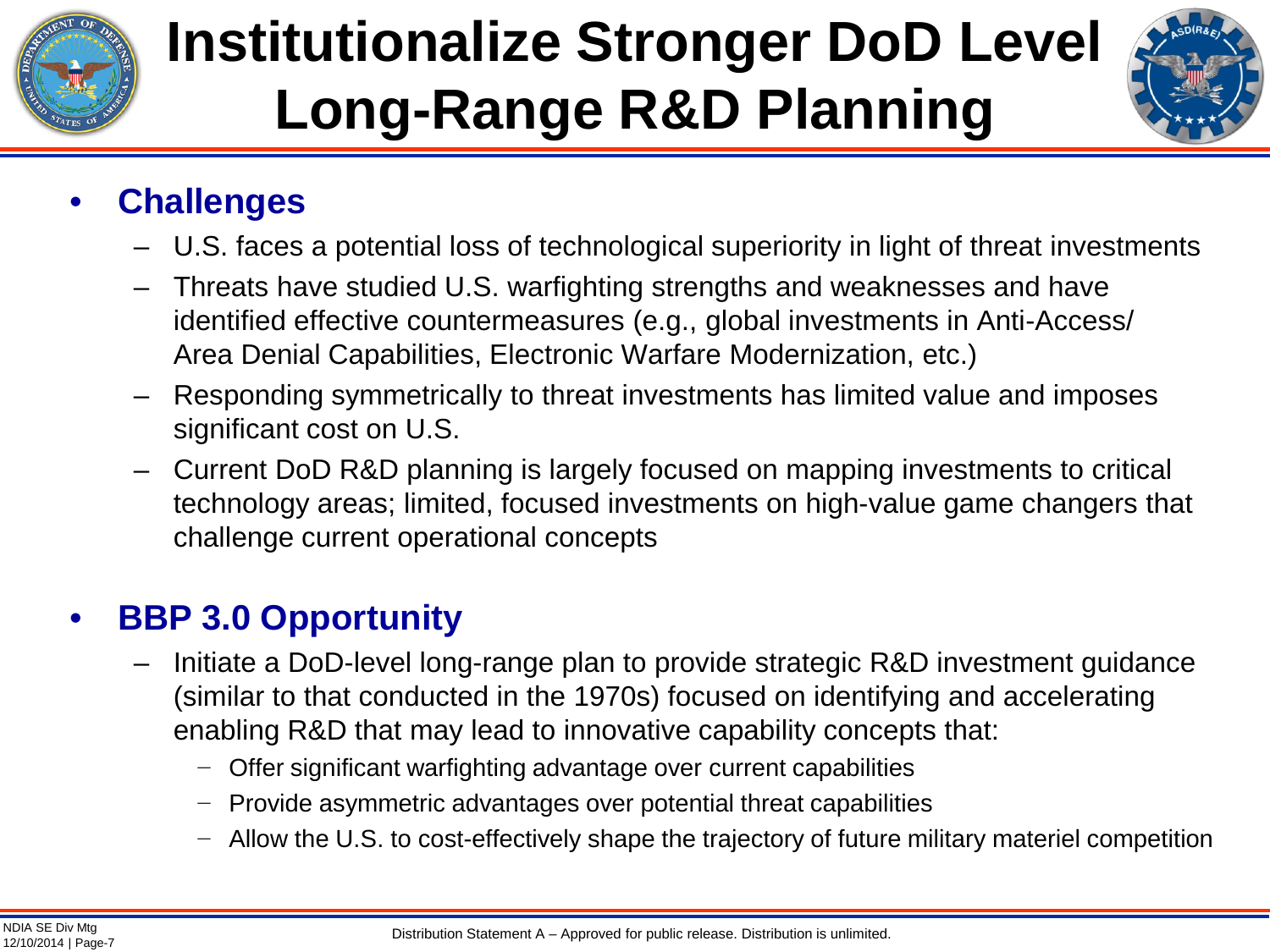

# **Institutionalize Stronger DoD Level Long-Range R&D Planning**



### • **Challenges**

- U.S. faces a potential loss of technological superiority in light of threat investments
- Threats have studied U.S. warfighting strengths and weaknesses and have identified effective countermeasures (e.g., global investments in Anti-Access/ Area Denial Capabilities, Electronic Warfare Modernization, etc.)
- Responding symmetrically to threat investments has limited value and imposes significant cost on U.S.
- Current DoD R&D planning is largely focused on mapping investments to critical technology areas; limited, focused investments on high-value game changers that challenge current operational concepts

### • **BBP 3.0 Opportunity**

- Initiate a DoD-level long-range plan to provide strategic R&D investment guidance (similar to that conducted in the 1970s) focused on identifying and accelerating enabling R&D that may lead to innovative capability concepts that:
	- Offer significant warfighting advantage over current capabilities
	- − Provide asymmetric advantages over potential threat capabilities
	- − Allow the U.S. to cost-effectively shape the trajectory of future military materiel competition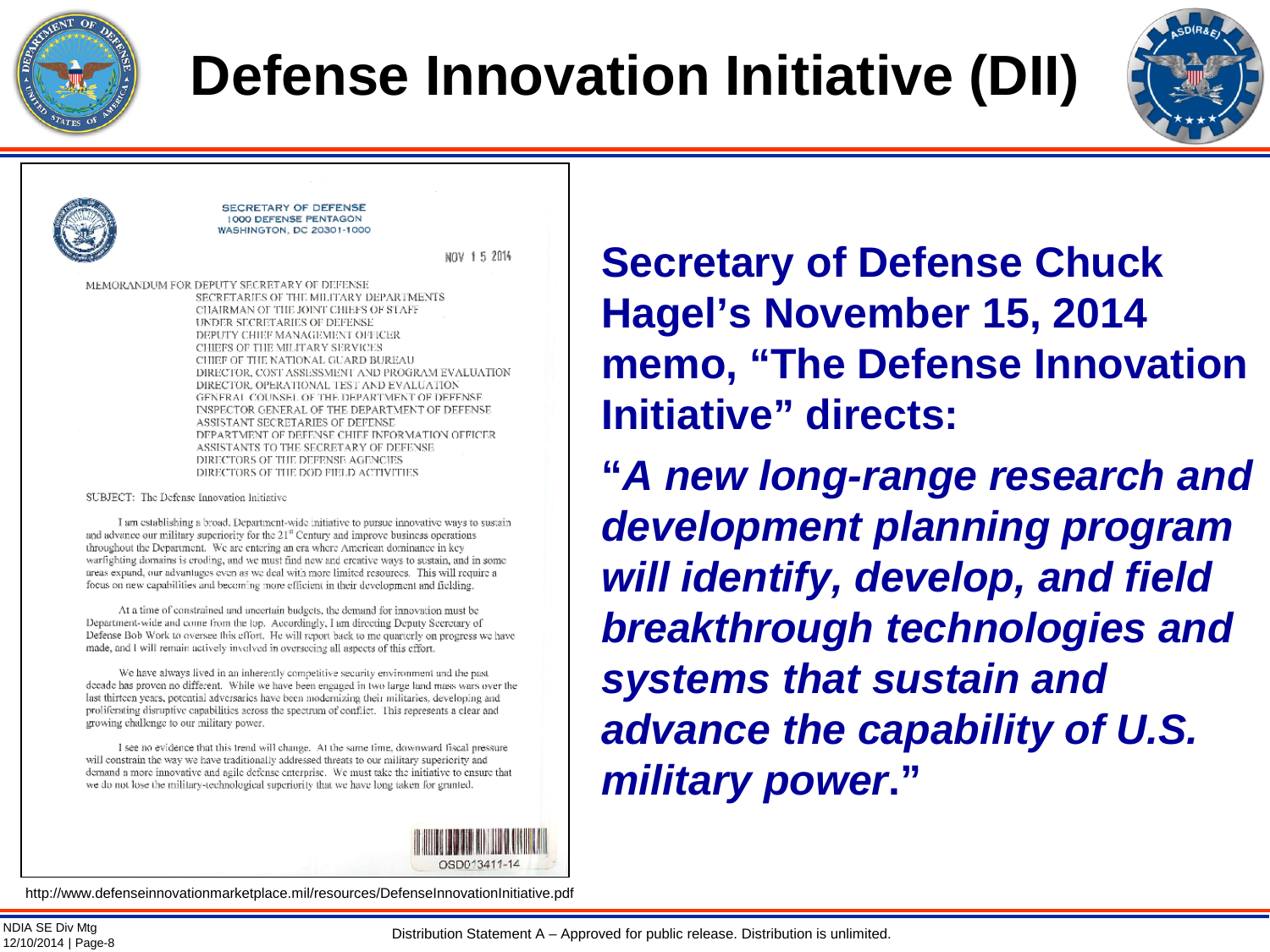

# **Defense Innovation Initiative (DII)**



**SECRETARY OF DEFENSE 1000 DEFENSE PENTAGON WASHINGTON, DC 20301-1000** 

NOV 15 2014

MEMORANDUM FOR DEPUTY SECRETARY OF DEFENSE SECRETARIES OF THE MILITARY DEPARTMENTS CHAIRMAN OF THE JOINT CHIEFS OF STAFF UNDER SECRETARIES OF DEFENSE DEPUTY CHIEF MANAGEMENT OFFICER CHIEFS OF THE MILITARY SERVICES CHIEF OF THE NATIONAL GUARD BUREAU DIRECTOR, COST ASSESSMENT AND PROGRAM EVALUATION DIRECTOR, OPERATIONAL TEST AND EVALUATION GENERAL COUNSEL OF THE DEPARTMENT OF DEFENSE INSPECTOR GENERAL OF THE DEPARTMENT OF DEFENSE ASSISTANT SECRETARIES OF DEFENSE DEPARTMENT OF DEFENSE CHIEF INFORMATION OFFICER ASSISTANTS TO THE SECRETARY OF DEFENSE DIRECTORS OF THE DEFENSE AGENCIES DIRECTORS OF THE DOD FIELD ACTIVITIES

SUBJECT: The Defense Innovation Initiative

I am establishing a broad. Department-wide initiative to pursue innovative ways to sustain and advance our military superiority for the 21<sup>st</sup> Century and improve business operations throughout the Department. We are entering an era where American dominance in key warfighting domains is croding, and we must find new and creative ways to sustain, and in some areas expand, our advantages even as we deal with more limited resources. This will require a focus on new capabilities and becoming more efficient in their development and fielding.

At a time of constrained and uncertain budgets, the demand for innovation must be Department-wide and come from the top. Accordingly, I am directing Deputy Sceretary of Defense Bob Work to oversee this effort. He will report back to me quarterly on progress we have made, and I will remain actively involved in overseeing all aspects of this effort.

We have always lived in an inherently competitive security environment and the past decade has proven no different. While we have been engaged in two large land mass wars over the last thirteen years, potential adversaries have been modernizing their militaries, developing and proliferating disruptive capabilities across the spectrum of conflict. This represents a clear and growing challenge to our military power.

I see no evidence that this trend will change. At the same time, downward fiscal pressure will constrain the way we have traditionally addressed threats to our military superiority and demand a more innovative and agile defense enterprise. We must take the initiative to ensure that we do not lose the military-technological superiority that we have long taken for granted.



http://www.defenseinnovationmarketplace.mil/resources/DefenseInnovationInitiative.pdf

**Secretary of Defense Chuck Hagel's November 15, 2014 memo, "The Defense Innovation Initiative" directs:** 

**"***A new long-range research and development planning program will identify, develop, and field breakthrough technologies and systems that sustain and advance the capability of U.S. military power***."**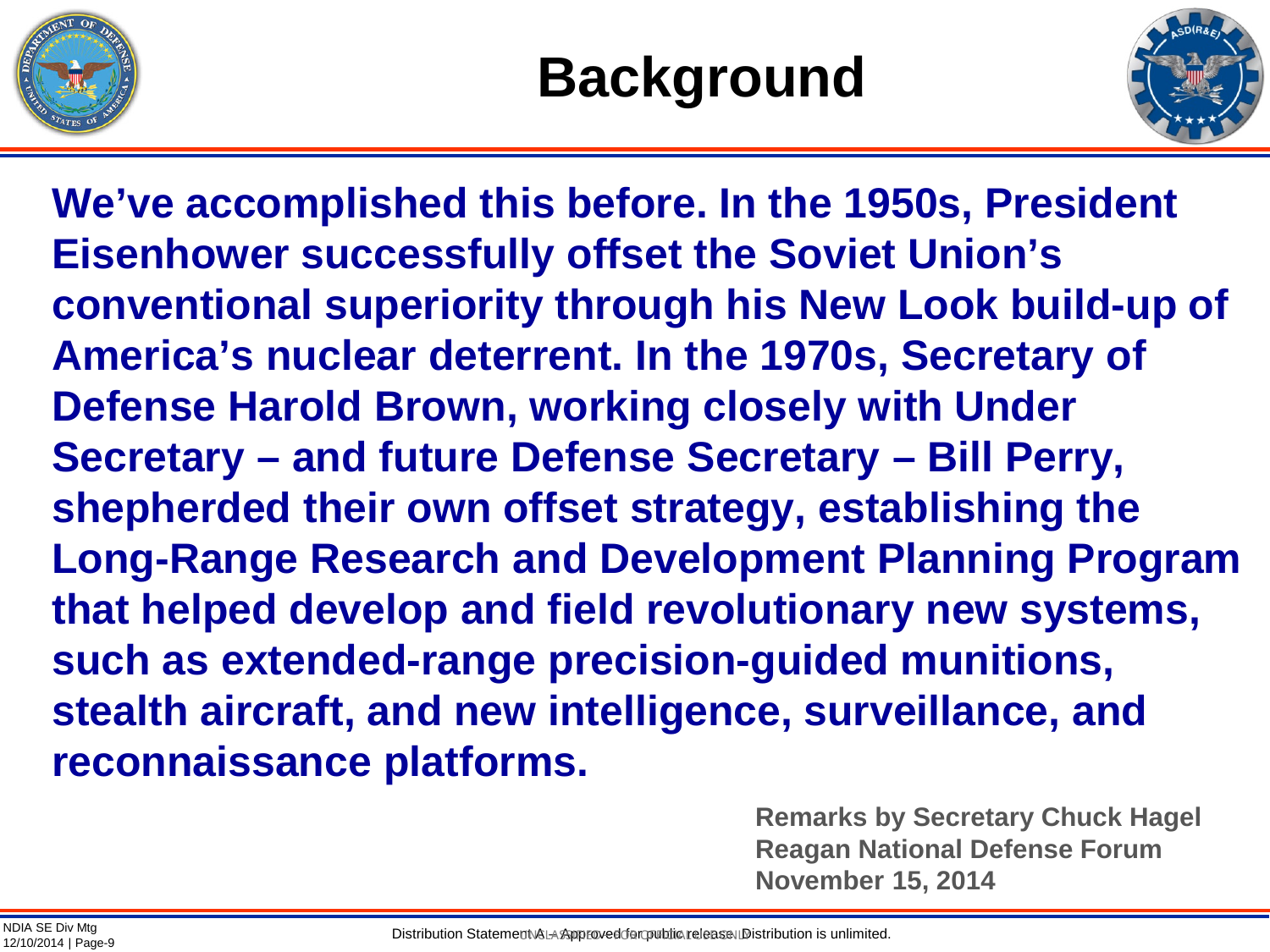



**We've accomplished this before. In the 1950s, President Eisenhower successfully offset the Soviet Union's conventional superiority through his New Look build-up of America's nuclear deterrent. In the 1970s, Secretary of Defense Harold Brown, working closely with Under Secretary – and future Defense Secretary – Bill Perry, shepherded their own offset strategy, establishing the Long-Range Research and Development Planning Program that helped develop and field revolutionary new systems, such as extended-range precision-guided munitions, stealth aircraft, and new intelligence, surveillance, and reconnaissance platforms.**

> **Remarks by Secretary Chuck Hagel Reagan National Defense Forum November 15, 2014**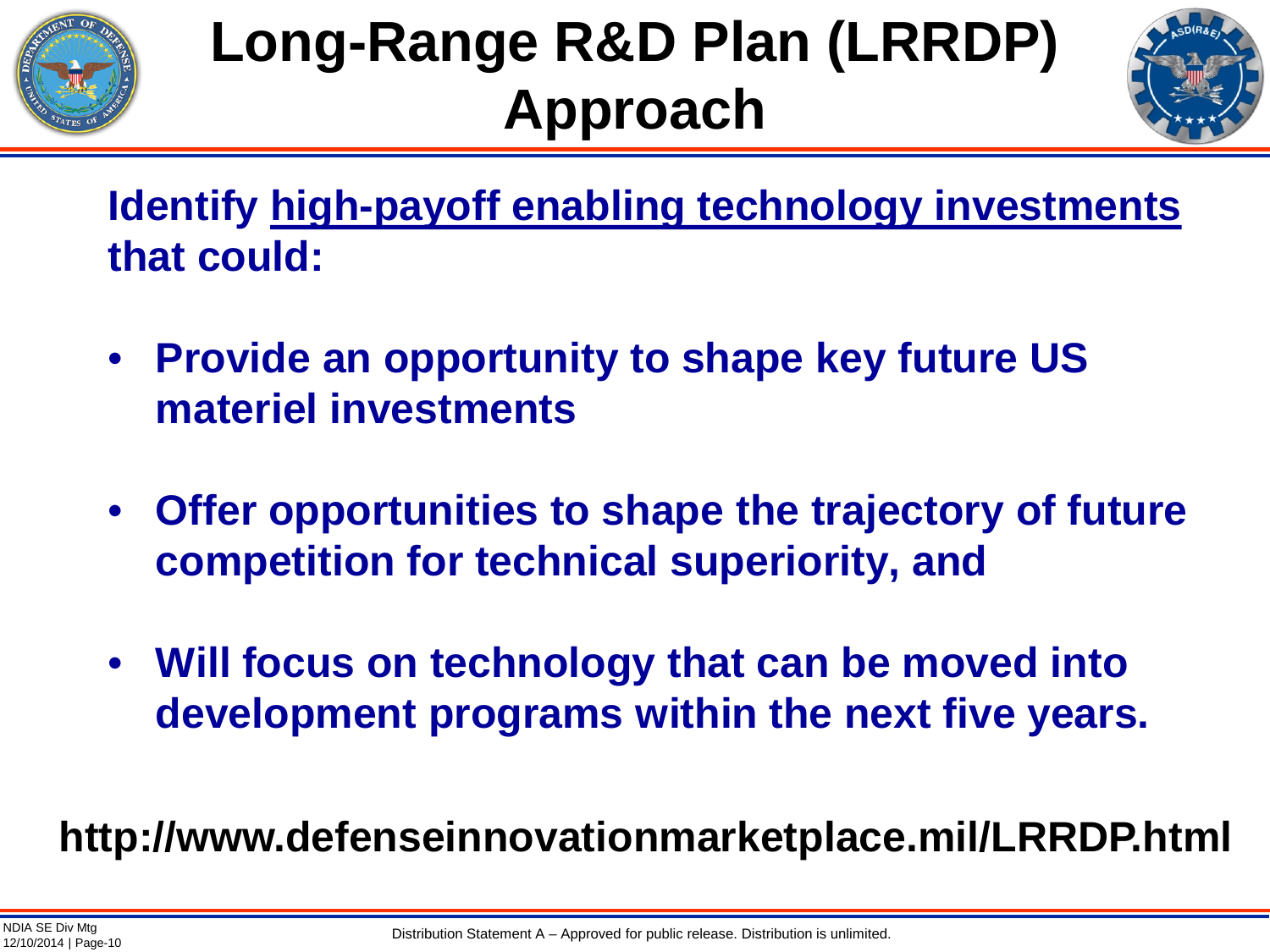

# **Long-Range R&D Plan (LRRDP) Approach**



**Identify high-payoff enabling technology investments that could:**

- **Provide an opportunity to shape key future US materiel investments**
- **Offer opportunities to shape the trajectory of future competition for technical superiority, and**
- **Will focus on technology that can be moved into development programs within the next five years.**

**http://www.defenseinnovationmarketplace.mil/LRRDP.html**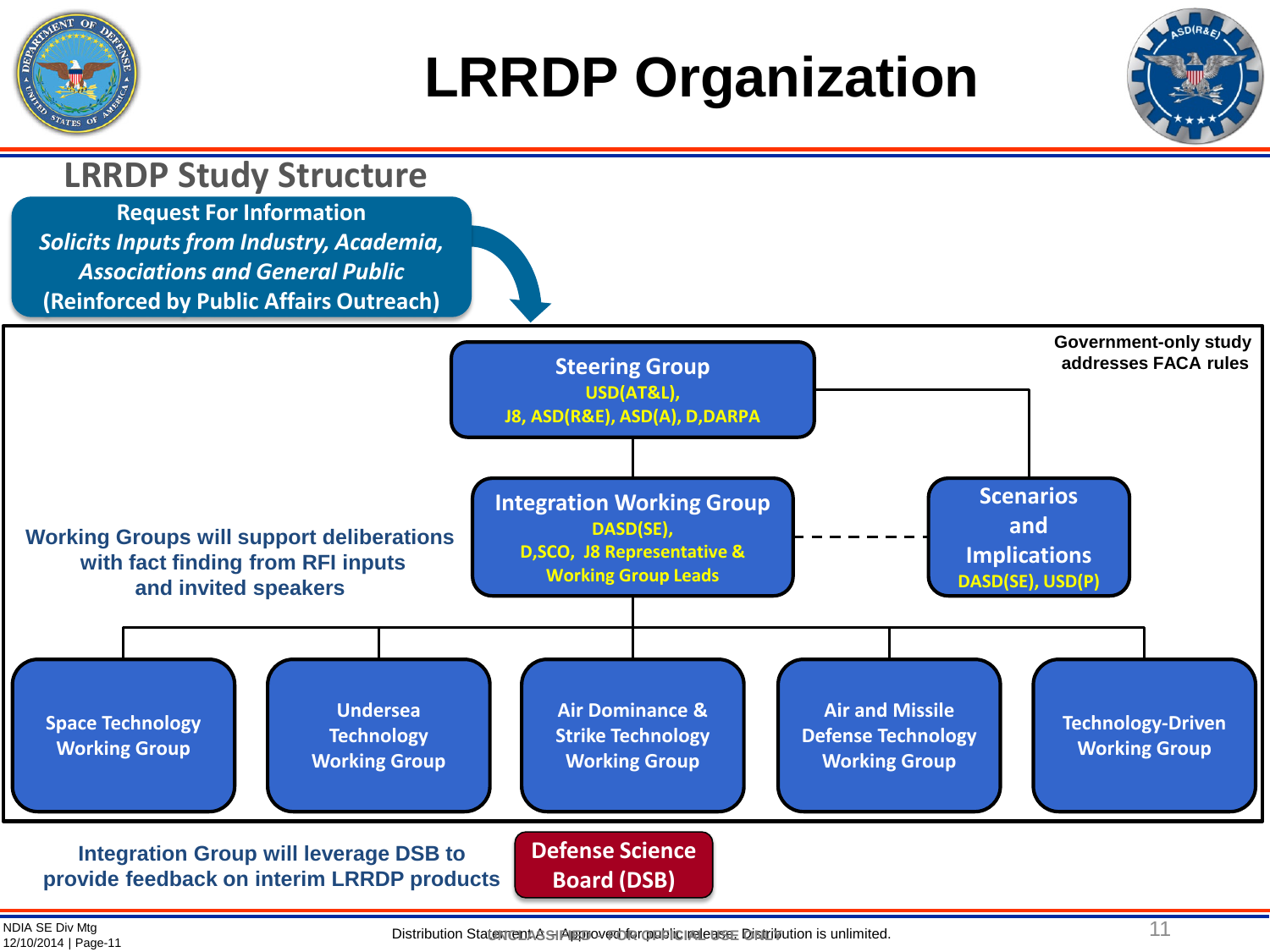

# **LRRDP Organization**



NDIA SE Div Mtg<br>12/10/2014 | Page-11

12/10/2014 | Page-11 Distribution Statement A – Approved for public release. Distribution is unlimited. **UNCLASSIFIED – FOR OFFICIAL USE ONLY**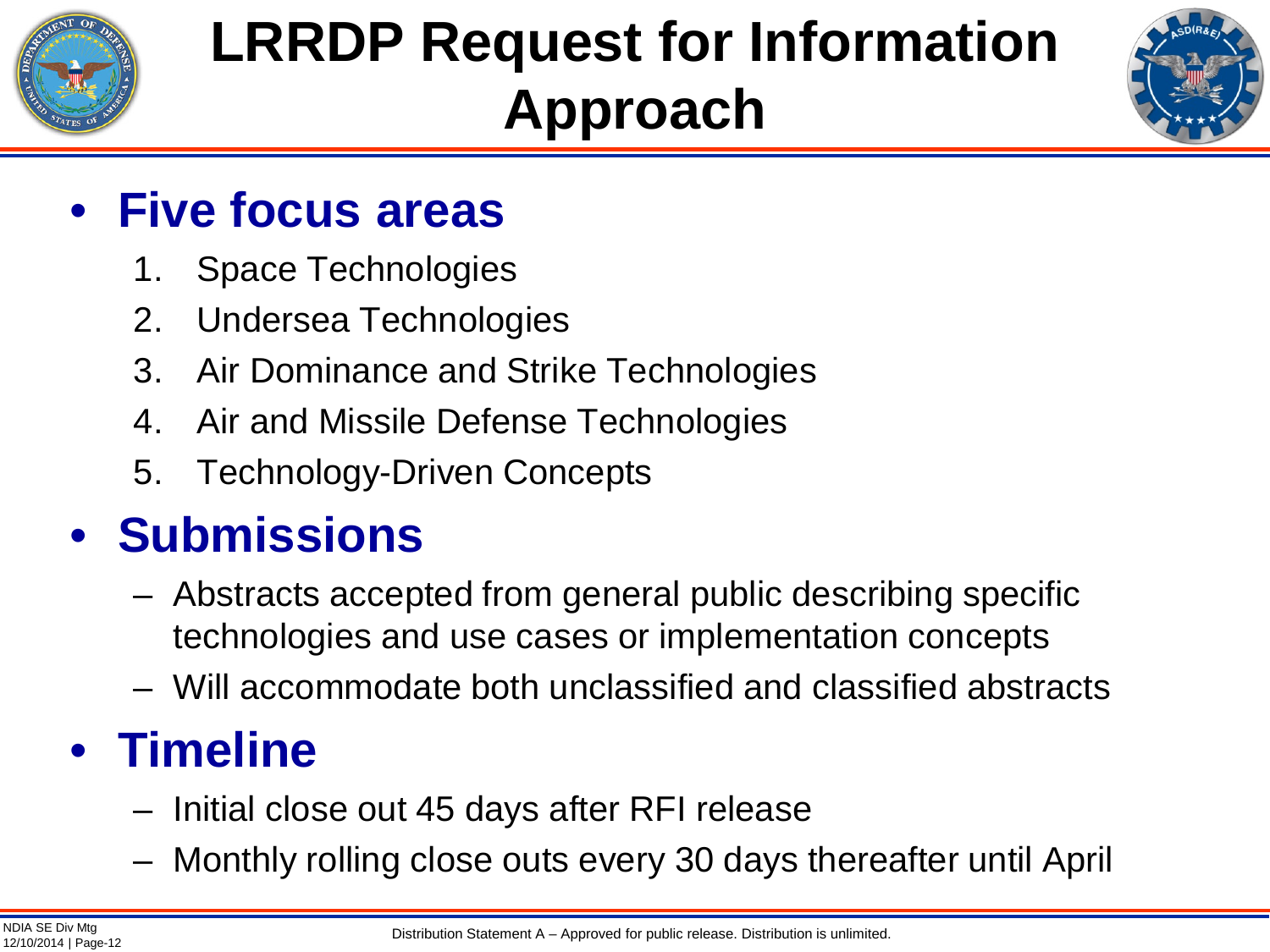

# **LRRDP Request for Information Approach**



### • **Five focus areas**

- 1. Space Technologies
- 2. Undersea Technologies
- 3. Air Dominance and Strike Technologies
- 4. Air and Missile Defense Technologies
- 5. Technology-Driven Concepts

### • **Submissions**

- Abstracts accepted from general public describing specific technologies and use cases or implementation concepts
- Will accommodate both unclassified and classified abstracts

## • **Timeline**

- Initial close out 45 days after RFI release
- Monthly rolling close outs every 30 days thereafter until April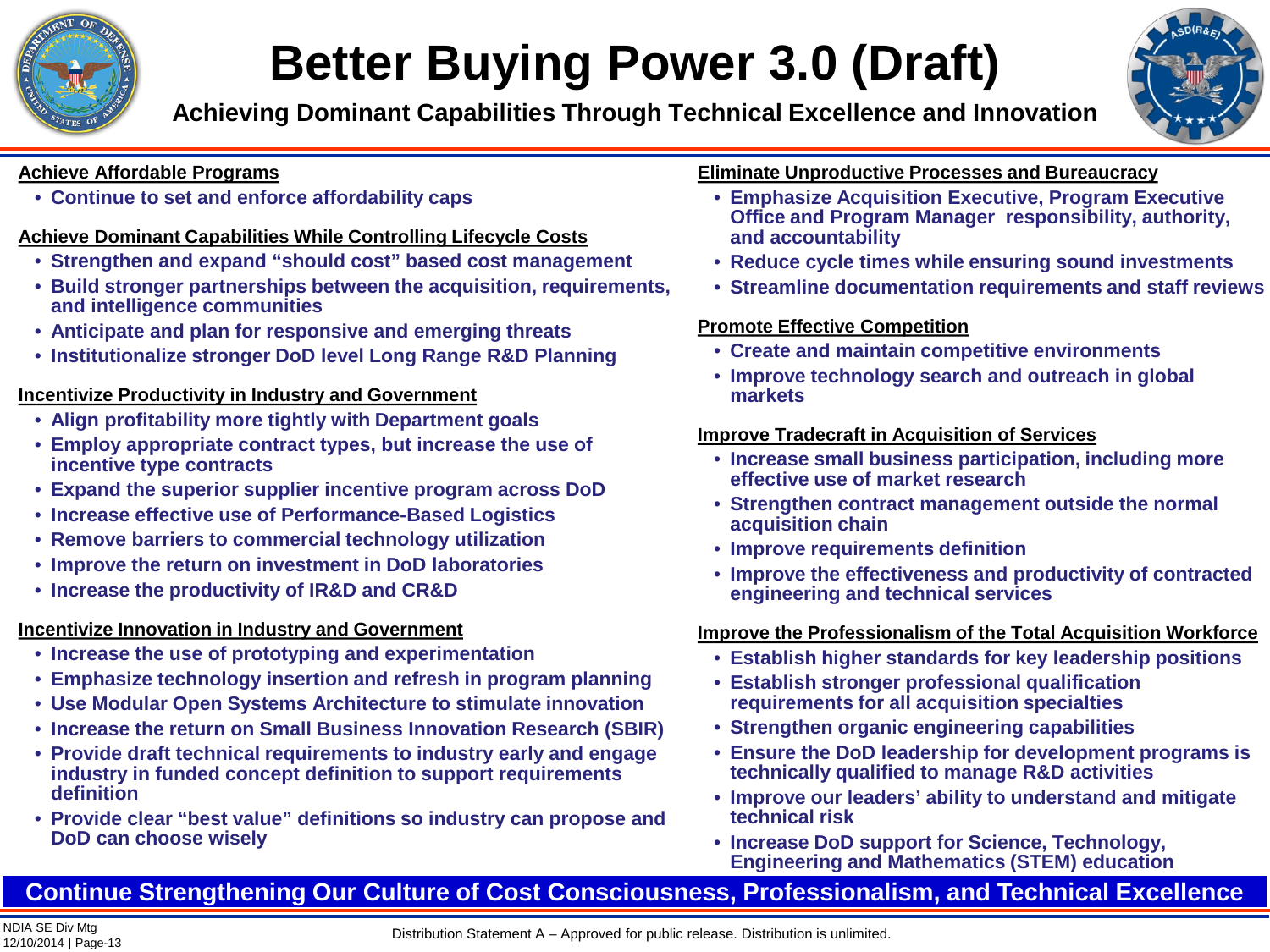

## **Better Buying Power 3.0 (Draft)**

**Achieving Dominant Capabilities Through Technical Excellence and Innovation**



#### **Achieve Affordable Programs**

• **Continue to set and enforce affordability caps**

### **Achieve Dominant Capabilities While Controlling Lifecycle Costs**

- **Strengthen and expand "should cost" based cost management**
- **Build stronger partnerships between the acquisition, requirements, and intelligence communities**
- **Anticipate and plan for responsive and emerging threats**
- **Institutionalize stronger DoD level Long Range R&D Planning**

### **Incentivize Productivity in Industry and Government**

- **Align profitability more tightly with Department goals**
- **Employ appropriate contract types, but increase the use of incentive type contracts**
- **Expand the superior supplier incentive program across DoD**
- **Increase effective use of Performance-Based Logistics**
- **Remove barriers to commercial technology utilization**
- **Improve the return on investment in DoD laboratories**
- **Increase the productivity of IR&D and CR&D**

### **Incentivize Innovation in Industry and Government**

- **Increase the use of prototyping and experimentation**
- **Emphasize technology insertion and refresh in program planning**
- **Use Modular Open Systems Architecture to stimulate innovation**
- **Increase the return on Small Business Innovation Research (SBIR)**
- **Provide draft technical requirements to industry early and engage industry in funded concept definition to support requirements definition**
- **Provide clear "best value" definitions so industry can propose and DoD can choose wisely**

### **Eliminate Unproductive Processes and Bureaucracy**

- **Emphasize Acquisition Executive, Program Executive Office and Program Manager responsibility, authority, and accountability**
- **Reduce cycle times while ensuring sound investments**
- **Streamline documentation requirements and staff reviews**

### **Promote Effective Competition**

- **Create and maintain competitive environments**
- **Improve technology search and outreach in global markets**

### **Improve Tradecraft in Acquisition of Services**

- **Increase small business participation, including more effective use of market research**
- **Strengthen contract management outside the normal acquisition chain**
- **Improve requirements definition**
- **Improve the effectiveness and productivity of contracted engineering and technical services**

### **Improve the Professionalism of the Total Acquisition Workforce**

- **Establish higher standards for key leadership positions**
- **Establish stronger professional qualification requirements for all acquisition specialties**
- **Strengthen organic engineering capabilities**
- **Ensure the DoD leadership for development programs is technically qualified to manage R&D activities**
- **Improve our leaders' ability to understand and mitigate technical risk**
- **Increase DoD support for Science, Technology, Engineering and Mathematics (STEM) education**

### **Continue Strengthening Our Culture of Cost Consciousness, Professionalism, and Technical Excellence**

Distribution Statement A – Approved for public release. Distribution is unlimited.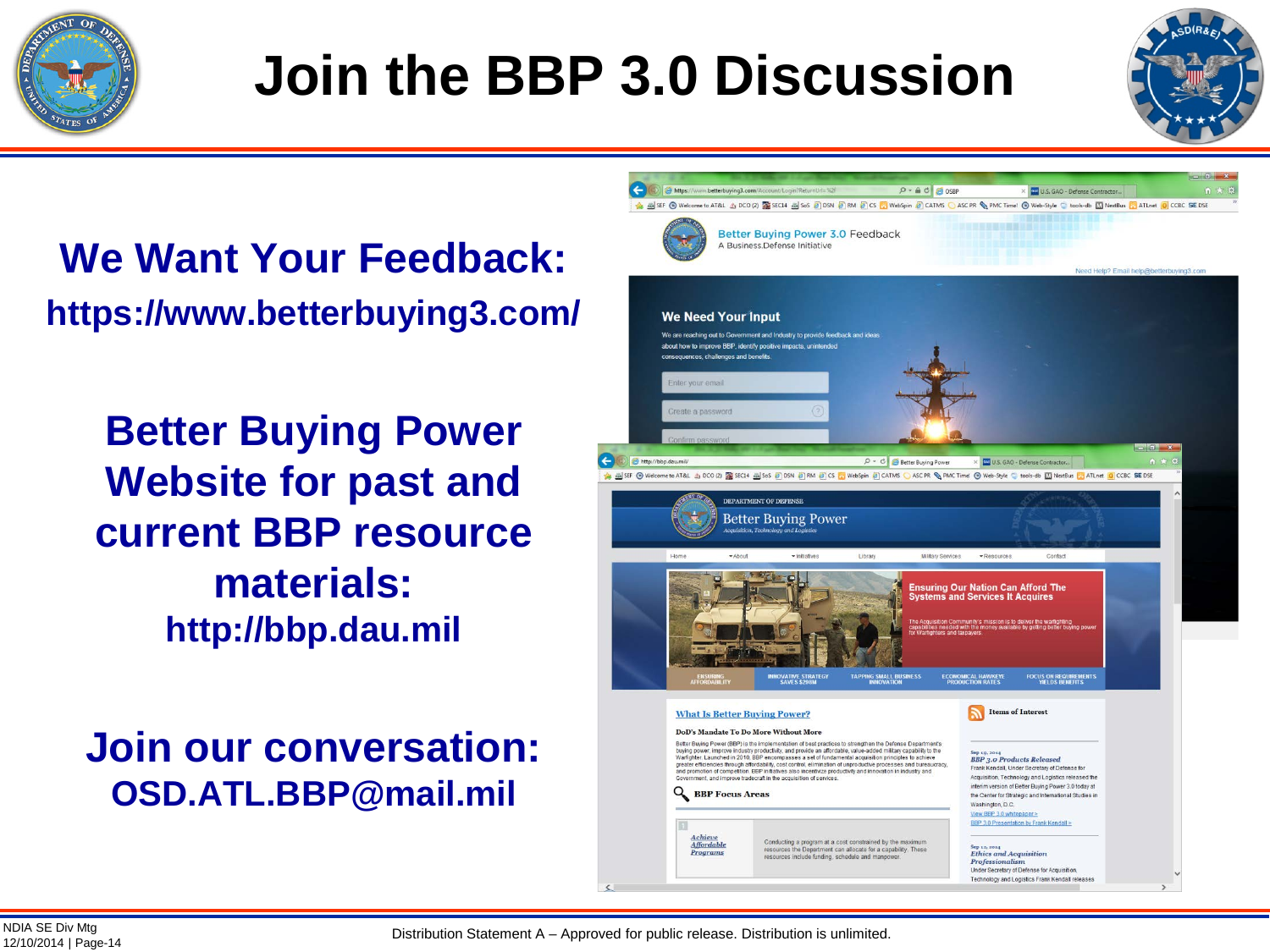

# **Join the BBP 3.0 Discussion**



**We Want Your Feedback: https://www.betterbuying3.com/**

**Better Buying Power Website for past and current BBP resource materials: http://bbp.dau.mil** 

**Join our conversation: OSD.ATL.BBP@mail.mil**



Distribution Statement A – Approved for public release. Distribution is unlimited.